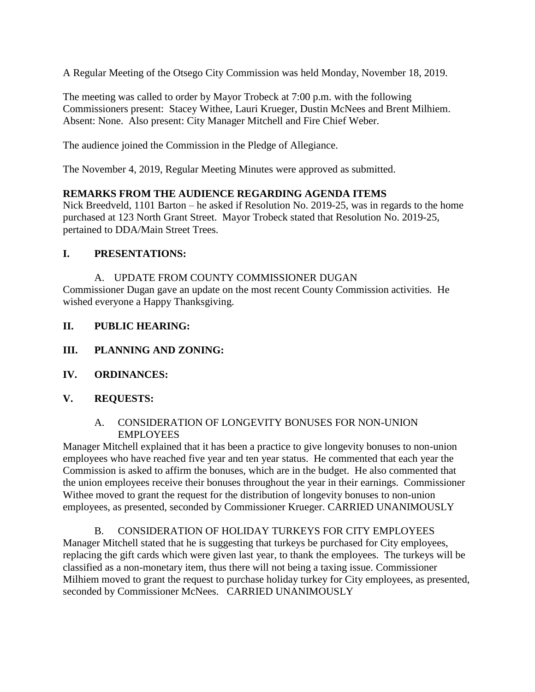A Regular Meeting of the Otsego City Commission was held Monday, November 18, 2019.

The meeting was called to order by Mayor Trobeck at 7:00 p.m. with the following Commissioners present: Stacey Withee, Lauri Krueger, Dustin McNees and Brent Milhiem. Absent: None. Also present: City Manager Mitchell and Fire Chief Weber.

The audience joined the Commission in the Pledge of Allegiance.

The November 4, 2019, Regular Meeting Minutes were approved as submitted.

## **REMARKS FROM THE AUDIENCE REGARDING AGENDA ITEMS**

Nick Breedveld, 1101 Barton – he asked if Resolution No. 2019-25, was in regards to the home purchased at 123 North Grant Street. Mayor Trobeck stated that Resolution No. 2019-25, pertained to DDA/Main Street Trees.

## **I. PRESENTATIONS:**

A. UPDATE FROM COUNTY COMMISSIONER DUGAN

Commissioner Dugan gave an update on the most recent County Commission activities. He wished everyone a Happy Thanksgiving.

- **II. PUBLIC HEARING:**
- **III. PLANNING AND ZONING:**
- **IV. ORDINANCES:**

# **V. REQUESTS:**

## A. CONSIDERATION OF LONGEVITY BONUSES FOR NON-UNION EMPLOYEES

Manager Mitchell explained that it has been a practice to give longevity bonuses to non-union employees who have reached five year and ten year status. He commented that each year the Commission is asked to affirm the bonuses, which are in the budget. He also commented that the union employees receive their bonuses throughout the year in their earnings. Commissioner Withee moved to grant the request for the distribution of longevity bonuses to non-union employees, as presented, seconded by Commissioner Krueger. CARRIED UNANIMOUSLY

B. CONSIDERATION OF HOLIDAY TURKEYS FOR CITY EMPLOYEES Manager Mitchell stated that he is suggesting that turkeys be purchased for City employees, replacing the gift cards which were given last year, to thank the employees. The turkeys will be classified as a non-monetary item, thus there will not being a taxing issue. Commissioner Milhiem moved to grant the request to purchase holiday turkey for City employees, as presented, seconded by Commissioner McNees. CARRIED UNANIMOUSLY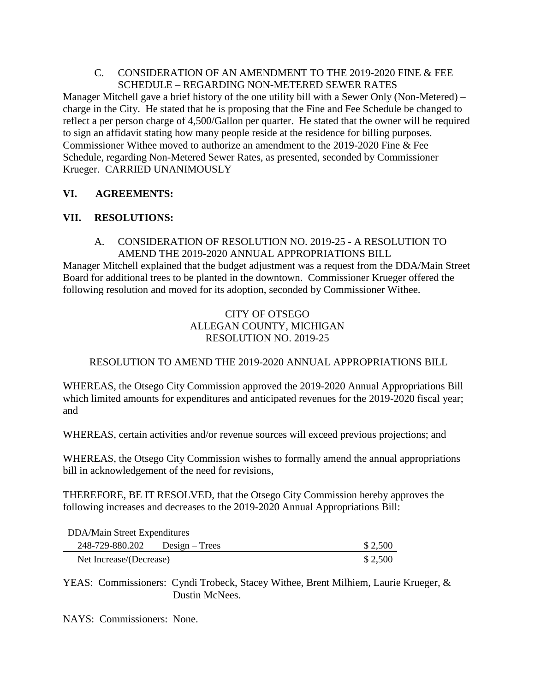## C. CONSIDERATION OF AN AMENDMENT TO THE 2019-2020 FINE & FEE SCHEDULE – REGARDING NON-METERED SEWER RATES

Manager Mitchell gave a brief history of the one utility bill with a Sewer Only (Non-Metered) – charge in the City. He stated that he is proposing that the Fine and Fee Schedule be changed to reflect a per person charge of 4,500/Gallon per quarter. He stated that the owner will be required to sign an affidavit stating how many people reside at the residence for billing purposes. Commissioner Withee moved to authorize an amendment to the 2019-2020 Fine & Fee Schedule, regarding Non-Metered Sewer Rates, as presented, seconded by Commissioner Krueger. CARRIED UNANIMOUSLY

## **VI. AGREEMENTS:**

## **VII. RESOLUTIONS:**

## A. CONSIDERATION OF RESOLUTION NO. 2019-25 - A RESOLUTION TO AMEND THE 2019-2020 ANNUAL APPROPRIATIONS BILL

Manager Mitchell explained that the budget adjustment was a request from the DDA/Main Street Board for additional trees to be planted in the downtown. Commissioner Krueger offered the following resolution and moved for its adoption, seconded by Commissioner Withee.

# CITY OF OTSEGO ALLEGAN COUNTY, MICHIGAN RESOLUTION NO. 2019-25

# RESOLUTION TO AMEND THE 2019-2020 ANNUAL APPROPRIATIONS BILL

WHEREAS, the Otsego City Commission approved the 2019-2020 Annual Appropriations Bill which limited amounts for expenditures and anticipated revenues for the 2019-2020 fiscal year; and

WHEREAS, certain activities and/or revenue sources will exceed previous projections; and

WHEREAS, the Otsego City Commission wishes to formally amend the annual appropriations bill in acknowledgement of the need for revisions,

THEREFORE, BE IT RESOLVED, that the Otsego City Commission hereby approves the following increases and decreases to the 2019-2020 Annual Appropriations Bill:

| DDA/Main Street Expenditures |                  |         |
|------------------------------|------------------|---------|
| 248-729-880.202              | $Design - Trees$ | \$2,500 |
| Net Increase/(Decrease)      |                  | \$2,500 |

YEAS: Commissioners: Cyndi Trobeck, Stacey Withee, Brent Milhiem, Laurie Krueger, & Dustin McNees.

NAYS: Commissioners: None.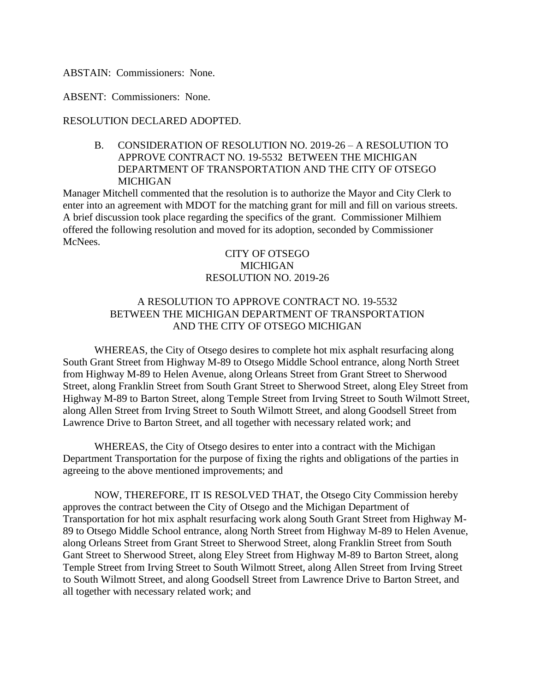ABSTAIN: Commissioners: None.

ABSENT: Commissioners: None.

### RESOLUTION DECLARED ADOPTED.

B. CONSIDERATION OF RESOLUTION NO. 2019-26 – A RESOLUTION TO APPROVE CONTRACT NO. 19-5532 BETWEEN THE MICHIGAN DEPARTMENT OF TRANSPORTATION AND THE CITY OF OTSEGO MICHIGAN

Manager Mitchell commented that the resolution is to authorize the Mayor and City Clerk to enter into an agreement with MDOT for the matching grant for mill and fill on various streets. A brief discussion took place regarding the specifics of the grant. Commissioner Milhiem offered the following resolution and moved for its adoption, seconded by Commissioner McNees.

## CITY OF OTSEGO **MICHIGAN** RESOLUTION NO. 2019-26

# A RESOLUTION TO APPROVE CONTRACT NO. 19-5532 BETWEEN THE MICHIGAN DEPARTMENT OF TRANSPORTATION AND THE CITY OF OTSEGO MICHIGAN

WHEREAS, the City of Otsego desires to complete hot mix asphalt resurfacing along South Grant Street from Highway M-89 to Otsego Middle School entrance, along North Street from Highway M-89 to Helen Avenue, along Orleans Street from Grant Street to Sherwood Street, along Franklin Street from South Grant Street to Sherwood Street, along Eley Street from Highway M-89 to Barton Street, along Temple Street from Irving Street to South Wilmott Street, along Allen Street from Irving Street to South Wilmott Street, and along Goodsell Street from Lawrence Drive to Barton Street, and all together with necessary related work; and

WHEREAS, the City of Otsego desires to enter into a contract with the Michigan Department Transportation for the purpose of fixing the rights and obligations of the parties in agreeing to the above mentioned improvements; and

NOW, THEREFORE, IT IS RESOLVED THAT, the Otsego City Commission hereby approves the contract between the City of Otsego and the Michigan Department of Transportation for hot mix asphalt resurfacing work along South Grant Street from Highway M-89 to Otsego Middle School entrance, along North Street from Highway M-89 to Helen Avenue, along Orleans Street from Grant Street to Sherwood Street, along Franklin Street from South Gant Street to Sherwood Street, along Eley Street from Highway M-89 to Barton Street, along Temple Street from Irving Street to South Wilmott Street, along Allen Street from Irving Street to South Wilmott Street, and along Goodsell Street from Lawrence Drive to Barton Street, and all together with necessary related work; and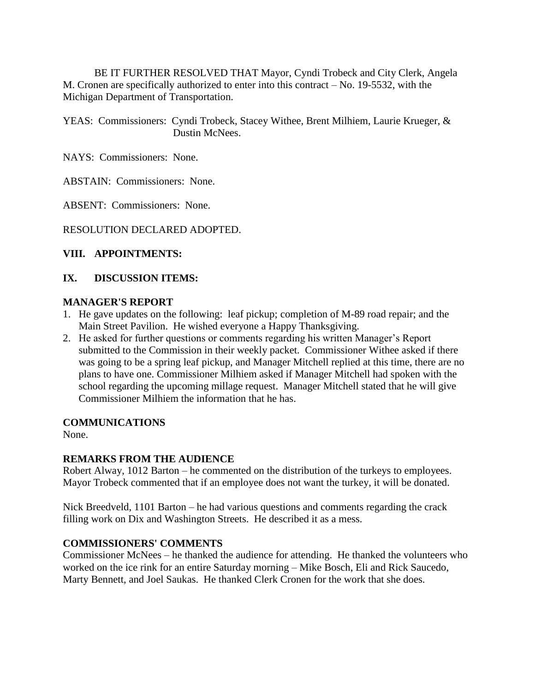BE IT FURTHER RESOLVED THAT Mayor, Cyndi Trobeck and City Clerk, Angela M. Cronen are specifically authorized to enter into this contract – No. 19-5532, with the Michigan Department of Transportation.

YEAS: Commissioners: Cyndi Trobeck, Stacey Withee, Brent Milhiem, Laurie Krueger, & Dustin McNees.

NAYS: Commissioners: None.

ABSTAIN: Commissioners: None.

ABSENT: Commissioners: None.

RESOLUTION DECLARED ADOPTED.

## **VIII. APPOINTMENTS:**

### **IX. DISCUSSION ITEMS:**

### **MANAGER'S REPORT**

- 1. He gave updates on the following: leaf pickup; completion of M-89 road repair; and the Main Street Pavilion. He wished everyone a Happy Thanksgiving.
- 2. He asked for further questions or comments regarding his written Manager's Report submitted to the Commission in their weekly packet. Commissioner Withee asked if there was going to be a spring leaf pickup, and Manager Mitchell replied at this time, there are no plans to have one. Commissioner Milhiem asked if Manager Mitchell had spoken with the school regarding the upcoming millage request. Manager Mitchell stated that he will give Commissioner Milhiem the information that he has.

### **COMMUNICATIONS**

None.

## **REMARKS FROM THE AUDIENCE**

Robert Alway, 1012 Barton – he commented on the distribution of the turkeys to employees. Mayor Trobeck commented that if an employee does not want the turkey, it will be donated.

Nick Breedveld, 1101 Barton – he had various questions and comments regarding the crack filling work on Dix and Washington Streets. He described it as a mess.

### **COMMISSIONERS' COMMENTS**

Commissioner McNees – he thanked the audience for attending. He thanked the volunteers who worked on the ice rink for an entire Saturday morning – Mike Bosch, Eli and Rick Saucedo, Marty Bennett, and Joel Saukas. He thanked Clerk Cronen for the work that she does.